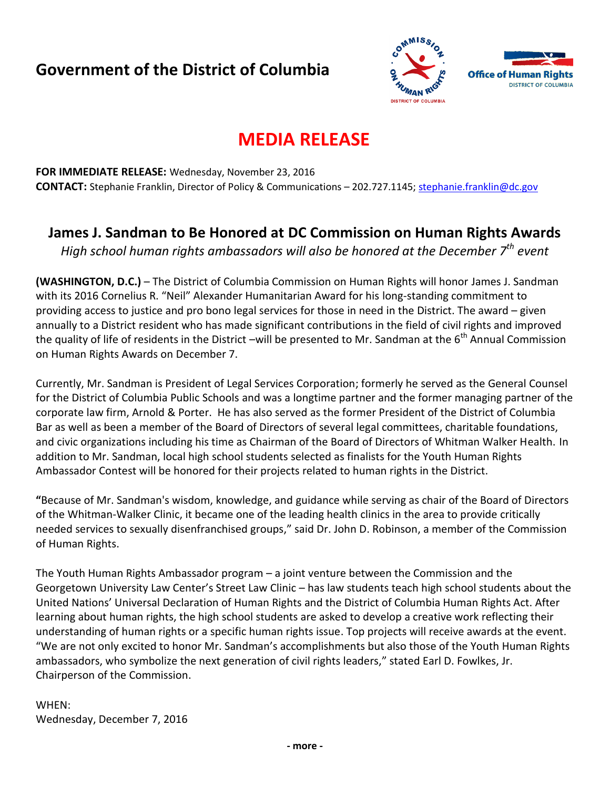## **Government of the District of Columbia**



# **MEDIA RELEASE**

**FOR IMMEDIATE RELEASE:** Wednesday, November 23, 2016 **CONTACT:** Stephanie Franklin, Director of Policy & Communications – 202.727.1145; [stephanie.franklin@dc.gov](mailto:stephanie.franklin@dc.gov)

### **James J. Sandman to Be Honored at DC Commission on Human Rights Awards**

*High school human rights ambassadors will also be honored at the December 7th event*

**(WASHINGTON, D.C.)** – The District of Columbia Commission on Human Rights will honor James J. Sandman with its 2016 Cornelius R. "Neil" Alexander Humanitarian Award for his long-standing commitment to providing access to justice and pro bono legal services for those in need in the District. The award – given annually to a District resident who has made significant contributions in the field of civil rights and improved the quality of life of residents in the District –will be presented to Mr. Sandman at the  $6<sup>th</sup>$  Annual Commission on Human Rights Awards on December 7.

Currently, Mr. Sandman is President of Legal Services Corporation; formerly he served as the General Counsel for the District of Columbia Public Schools and was a longtime partner and the former managing partner of the corporate law firm, Arnold & Porter. He has also served as the former President of the District of Columbia Bar as well as been a member of the Board of Directors of several legal committees, charitable foundations, and civic organizations including his time as Chairman of the Board of Directors of Whitman Walker Health. In addition to Mr. Sandman, local high school students selected as finalists for the Youth Human Rights Ambassador Contest will be honored for their projects related to human rights in the District.

**"**Because of Mr. Sandman's wisdom, knowledge, and guidance while serving as chair of the Board of Directors of the Whitman-Walker Clinic, it became one of the leading health clinics in the area to provide critically needed services to sexually disenfranchised groups," said Dr. John D. Robinson, a member of the Commission of Human Rights.

The Youth Human Rights Ambassador program – a joint venture between the Commission and the Georgetown University Law Center's Street Law Clinic – has law students teach high school students about the United Nations' Universal Declaration of Human Rights and the District of Columbia Human Rights Act. After learning about human rights, the high school students are asked to develop a creative work reflecting their understanding of human rights or a specific human rights issue. Top projects will receive awards at the event. "We are not only excited to honor Mr. Sandman's accomplishments but also those of the Youth Human Rights ambassadors, who symbolize the next generation of civil rights leaders," stated Earl D. Fowlkes, Jr. Chairperson of the Commission.

#### WHEN: Wednesday, December 7, 2016